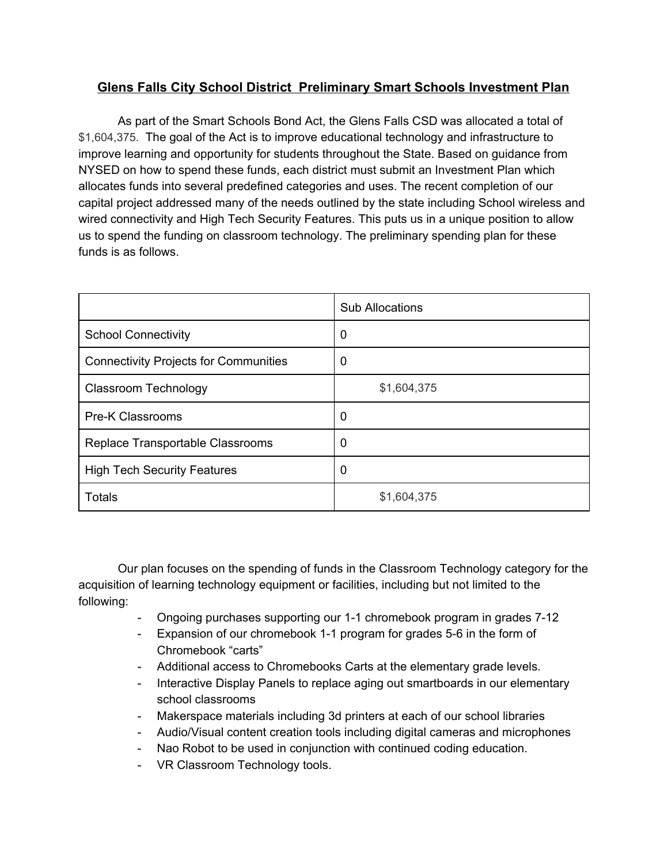## **Glens Falls City School District Preliminary Smart Schools Investment Plan**

As part of the Smart Schools Bond Act, the Glens Falls CSD was allocated a total of \$1,604,375. The goal of the Act is to improve educational technology and infrastructure to improve learning and opportunity for students throughout the State. Based on guidance from NYSED on how to spend these funds, each district must submit an Investment Plan which allocates funds into several predefined categories and uses. The recent completion of our capital project addressed many of the needs outlined by the state including School wireless and wired connectivity and High Tech Security Features. This puts us in a unique position to allow us to spend the funding on classroom technology. The preliminary spending plan for these funds is as follows.

|                                              | <b>Sub Allocations</b> |
|----------------------------------------------|------------------------|
| <b>School Connectivity</b>                   | 0                      |
| <b>Connectivity Projects for Communities</b> | 0                      |
| <b>Classroom Technology</b>                  | \$1,604,375            |
| <b>Pre-K Classrooms</b>                      | 0                      |
| Replace Transportable Classrooms             | 0                      |
| <b>High Tech Security Features</b>           | 0                      |
| <b>Totals</b>                                | \$1,604,375            |

Our plan focuses on the spending of funds in the Classroom Technology category for the acquisition of learning technology equipment or facilities, including but not limited to the following:

- Ongoing purchases supporting our 1-1 chromebook program in grades 7-12
- Expansion of our chromebook 1-1 program for grades 5-6 in the form of Chromebook "carts"
- Additional access to Chromebooks Carts at the elementary grade levels.
- Interactive Display Panels to replace aging out smartboards in our elementary school classrooms
- Makerspace materials including 3d printers at each of our school libraries
- Audio/Visual content creation tools including digital cameras and microphones
- Nao Robot to be used in conjunction with continued coding education.
- VR Classroom Technology tools.